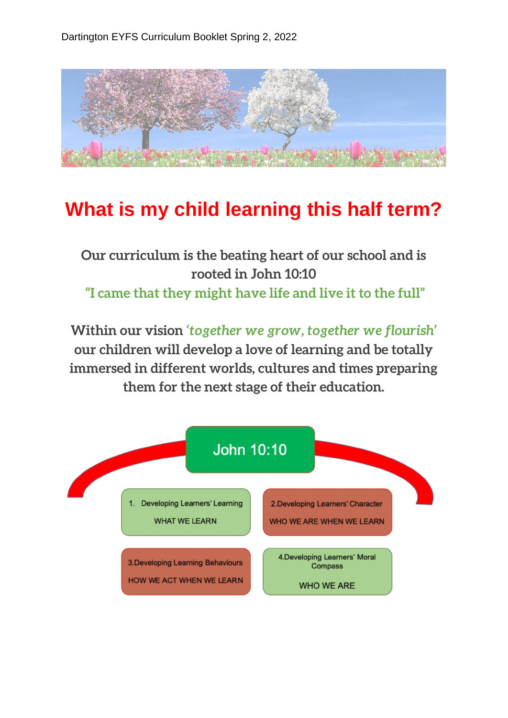

## **What is my child learning this half term?**

**Our curriculum is the beating heart of our school and is rooted in John 10:10 "I came that they might have life and live it to the full"**

**Within our vision** *'together we grow, together we flourish'*  **our children will develop a love of learning and be totally immersed in different worlds, cultures and times preparing them for the next stage of their education.**

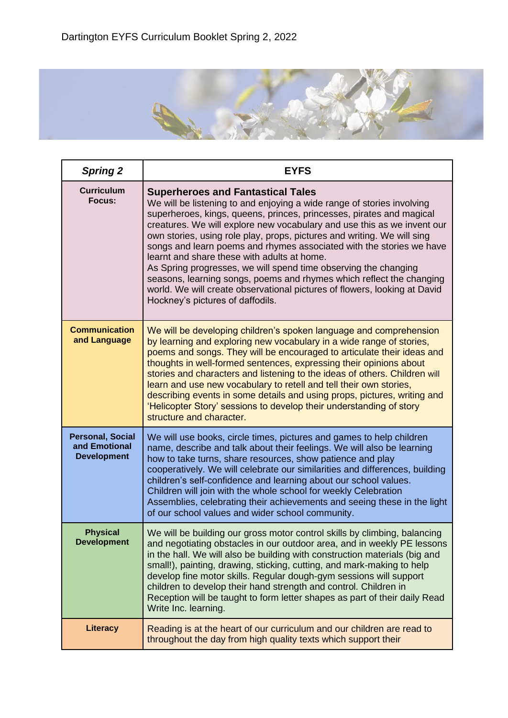

| <b>Spring 2</b>                                                | <b>EYFS</b>                                                                                                                                                                                                                                                                                                                                                                                                                                                                                                                                                                                                                                                                                                                         |
|----------------------------------------------------------------|-------------------------------------------------------------------------------------------------------------------------------------------------------------------------------------------------------------------------------------------------------------------------------------------------------------------------------------------------------------------------------------------------------------------------------------------------------------------------------------------------------------------------------------------------------------------------------------------------------------------------------------------------------------------------------------------------------------------------------------|
| <b>Curriculum</b><br>Focus:                                    | <b>Superheroes and Fantastical Tales</b><br>We will be listening to and enjoying a wide range of stories involving<br>superheroes, kings, queens, princes, princesses, pirates and magical<br>creatures. We will explore new vocabulary and use this as we invent our<br>own stories, using role play, props, pictures and writing. We will sing<br>songs and learn poems and rhymes associated with the stories we have<br>learnt and share these with adults at home.<br>As Spring progresses, we will spend time observing the changing<br>seasons, learning songs, poems and rhymes which reflect the changing<br>world. We will create observational pictures of flowers, looking at David<br>Hockney's pictures of daffodils. |
| <b>Communication</b><br>and Language                           | We will be developing children's spoken language and comprehension<br>by learning and exploring new vocabulary in a wide range of stories,<br>poems and songs. They will be encouraged to articulate their ideas and<br>thoughts in well-formed sentences, expressing their opinions about<br>stories and characters and listening to the ideas of others. Children will<br>learn and use new vocabulary to retell and tell their own stories,<br>describing events in some details and using props, pictures, writing and<br>'Helicopter Story' sessions to develop their understanding of story<br>structure and character.                                                                                                       |
| <b>Personal, Social</b><br>and Emotional<br><b>Development</b> | We will use books, circle times, pictures and games to help children<br>name, describe and talk about their feelings. We will also be learning<br>how to take turns, share resources, show patience and play<br>cooperatively. We will celebrate our similarities and differences, building<br>children's self-confidence and learning about our school values.<br>Children will join with the whole school for weekly Celebration<br>Assemblies, celebrating their achievements and seeing these in the light<br>of our school values and wider school community.                                                                                                                                                                  |
| <b>Physical</b><br><b>Development</b>                          | We will be building our gross motor control skills by climbing, balancing<br>and negotiating obstacles in our outdoor area, and in weekly PE lessons<br>in the hall. We will also be building with construction materials (big and<br>small!), painting, drawing, sticking, cutting, and mark-making to help<br>develop fine motor skills. Regular dough-gym sessions will support<br>children to develop their hand strength and control. Children in<br>Reception will be taught to form letter shapes as part of their daily Read<br>Write Inc. learning.                                                                                                                                                                        |
| Literacy                                                       | Reading is at the heart of our curriculum and our children are read to<br>throughout the day from high quality texts which support their                                                                                                                                                                                                                                                                                                                                                                                                                                                                                                                                                                                            |